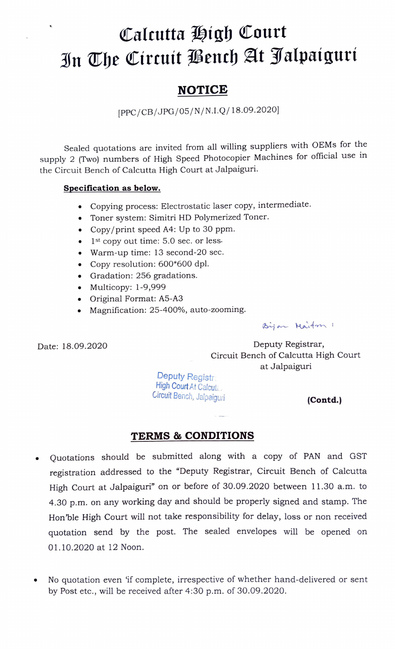## Caleutta High Court In The Circuit Bench At Jalpaiguri

## **NOTICE**

[PPC/CB/JPG/05/N/N.I.Q/18.09.2020]

Sealed quotations are invited from all willing suppliers with OEMs for the supply 2 (Two) numbers of High Speed Photocopier Machines for official use in the Circuit Bench of Calcutta High Court at Jalpaiguri.

## Specification as below.

- Copying process: Electrostatic laser copy, intermediate.
- Toner system: Simitri HD Polymerized Toner.
- Copy/print speed A4: Up to 30 ppm.
- $\bullet$  1<sup>st</sup> copy out time: 5.0 sec. or less.
- Warm-up time: 13 second-20 sec.
- .Copy resolution: 600\*600 dpl.
- Gradation: 256 gradations.
- Multicopy: 1-9,999
- Original Format: A5-A3
- Magnification: 25-400%, auto-zooming.

Bijan Maiton 1

Date: 18.09.2020

Deputy Registrar, Circuit Bench of Calcutta High Court at Jalpaiguri

Deputy Registra<br>High Court At Calcuti... Circuit Bench, Jalpaiguri **(Contd.)** 

## TERMS& CONDITIONS

- Quotations should be submitted along with a copy of PAN and GST registration addressed to the "Deputy Registrar, Circuit Bench of Calcutta High Court at Jalpaiguri" on or before of 30.09.2020 between 11.30 a.m. to 4.30 p.m. on any working day and should be properly signed and stamp. The Hon 'ble High Court will not take responsibility for delay, loss or non received quotation send by the post. The sealed envelopes will be opened on 01.10.2020 at 12 Noon.
- No quotation even if complete, irrespective of whether hand-delivered or sent by Post etc., will be received after 4:30 p.m. of 30.09.2020.